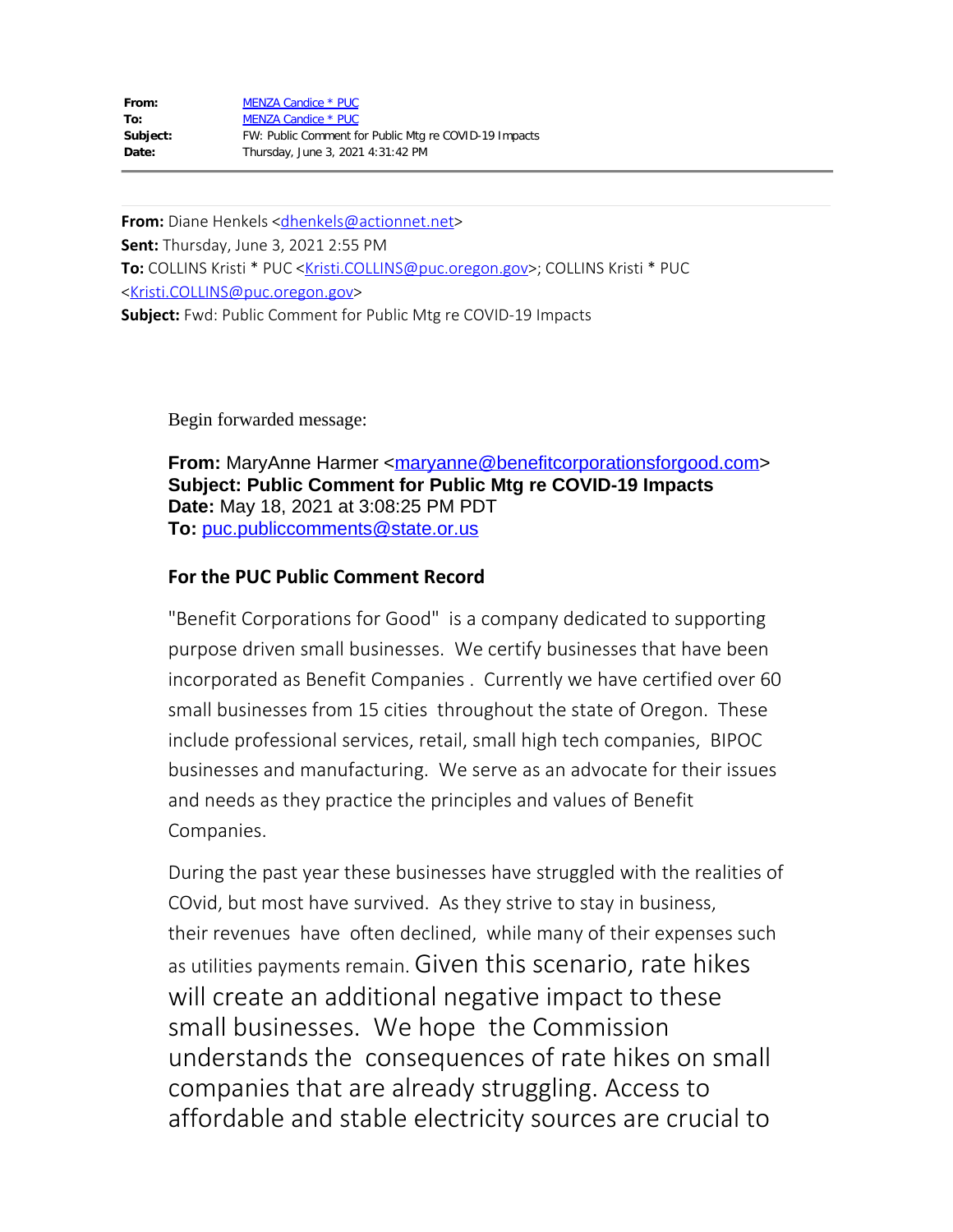| From:    | MENZA Candice * PUC                                   |
|----------|-------------------------------------------------------|
| To:      | MENZA Candice * PUC                                   |
| Subject: | FW: Public Comment for Public Mtg re COVID-19 Impacts |
| Date:    | Thursday, June 3, 2021 4:31:42 PM                     |

**From:** Diane Henkels [<dhenkels@actionnet.net](mailto:dhenkels@actionnet.net)> **Sent:** Thursday, June 3, 2021 2:55 PM **To:** COLLINS Kristi \* PUC <[Kristi.COLLINS@puc.oregon.gov](mailto:Kristi.COLLINS@puc.oregon.gov)>; COLLINS Kristi \* PUC [<Kristi.COLLINS@puc.oregon.gov](mailto:Kristi.COLLINS@puc.oregon.gov)> **Subject:** Fwd: Public Comment for Public Mtg re COVID-19 Impacts

Begin forwarded message:

**From:** MaryAnne Harmer <[maryanne@benefitcorporationsforgood.com](mailto:maryanne@benefitcorporationsforgood.com)> **Subject: Public Comment for Public Mtg re COVID-19 Impacts Date:** May 18, 2021 at 3:08:25 PM PDT **To:** [puc.publiccomments@state.or.us](mailto:puc.publiccomments@state.or.us)

## **For the PUC Public Comment Record**

"Benefit Corporations for Good" is a company dedicated to supporting purpose driven small businesses. We certify businesses that have been incorporated as Benefit Companies . Currently we have certified over 60 small businesses from 15 cities throughout the state of Oregon. These include professional services, retail, small high tech companies, BIPOC businesses and manufacturing. We serve as an advocate for their issues and needs as they practice the principles and values of Benefit Companies.

During the past year these businesses have struggled with the realities of COvid, but most have survived. As they strive to stay in business, their revenues have often declined, while many of their expenses such as utilities payments remain. Given this scenario, rate hikes will create an additional negative impact to these small businesses. We hope the Commission understands the consequences of rate hikes on small companies that are already struggling. Access to affordable and stable electricity sources are crucial to